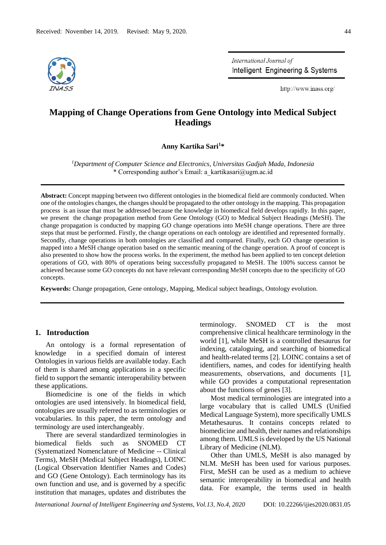

International Journal of Intelligent Engineering & Systems

http://www.inass.org/

# **Mapping of Change Operations from Gene Ontology into Medical Subject Headings**

**Anny Kartika Sari<sup>1</sup>\***

*<sup>1</sup>Department of Computer Science and Electronics, Universitas Gadjah Mada, Indonesia* \* Corresponding author's Email: a\_kartikasari@ugm.ac.id

**Abstract:** Concept mapping between two different ontologies in the biomedical field are commonly conducted. When one of the ontologies changes, the changes should be propagated to the other ontology in the mapping. This propagation process is an issue that must be addressed because the knowledge in biomedical field develops rapidly. In this paper, we present the change propagation method from Gene Ontology (GO) to Medical Subject Headings (MeSH). The change propagation is conducted by mapping GO change operations into MeSH change operations. There are three steps that must be performed. Firstly, the change operations on each ontology are identified and represented formally. Secondly, change operations in both ontologies are classified and compared. Finally, each GO change operation is mapped into a MeSH change operation based on the semantic meaning of the change operation. A proof of concept is also presented to show how the process works. In the experiment, the method has been applied to ten concept deletion operations of GO, with 80% of operations being successfully propagated to MeSH. The 100% success cannot be achieved because some GO concepts do not have relevant corresponding MeSH concepts due to the specificity of GO concepts.

**Keywords:** Change propagation, Gene ontology, Mapping, Medical subject headings, Ontology evolution.

#### **1. Introduction**

An ontology is a formal representation of knowledge in a specified domain of interest Ontologies in various fields are available today. Each of them is shared among applications in a specific field to support the semantic interoperability between these applications.

Biomedicine is one of the fields in which ontologies are used intensively. In biomedical field, ontologies are usually referred to as terminologies or vocabularies. In this paper, the term ontology and terminology are used interchangeably.

There are several standardized terminologies in biomedical fields such as SNOMED CT (Systematized Nomenclature of Medicine -- Clinical Terms), MeSH (Medical Subject Headings), LOINC (Logical Observation Identifier Names and Codes) and GO (Gene Ontology). Each terminology has its own function and use, and is governed by a specific institution that manages, updates and distributes the

terminology. SNOMED CT is the most comprehensive clinical healthcare terminology in the world [1], while MeSH is a controlled thesaurus for indexing, cataloguing, and searching of biomedical and health-related terms [2]. LOINC contains a set of identifiers, names, and codes for identifying health measurements, observations, and documents [1], while GO provides a computational representation about the functions of genes [3].

Most medical terminologies are integrated into a large vocabulary that is called UMLS (Unified Medical Language System), more specifically UMLS Metathesaurus. It contains concepts related to biomedicine and health, their names and relationships among them. UMLS is developed by the US National Library of Medicine (NLM).

Other than UMLS, MeSH is also managed by NLM. MeSH has been used for various purposes. First, MeSH can be used as a medium to achieve semantic interoperability in biomedical and health data. For example, the terms used in health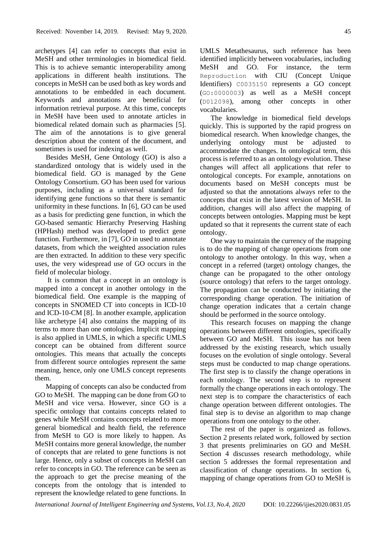archetypes [4] can refer to concepts that exist in MeSH and other terminologies in biomedical field. This is to achieve semantic interoperability among applications in different health institutions. The concepts in MeSH can be used both as key words and annotations to be embedded in each document. Keywords and annotations are beneficial for information retrieval purpose. At this time, concepts in MeSH have been used to annotate articles in biomedical related domain such as pharmacies [5]. The aim of the annotations is to give general description about the content of the document, and sometimes is used for indexing as well.

Besides MeSH, Gene Ontology (GO) is also a standardized ontology that is widely used in the biomedical field. GO is managed by the Gene Ontology Consortium. GO has been used for various purposes, including as a universal standard for identifying gene functions so that there is semantic uniformity in these functions. In [6], GO can be used as a basis for predicting gene function, in which the GO-based semantic Hierarchy Preserving Hashing (HPHash) method was developed to predict gene function. Furthermore, in [7], GO in used to annotate datasets, from which the weighted association rules are then extracted. In addition to these very specific uses, the very widespread use of GO occurs in the field of molecular biology.

It is common that a concept in an ontology is mapped into a concept in another ontology in the biomedical field. One example is the mapping of concepts in SNOMED CT into concepts in ICD-10 and ICD-10-CM [8]. In another example, application like archetype [4] also contains the mapping of its terms to more than one ontologies. Implicit mapping is also applied in UMLS, in which a specific UMLS concept can be obtained from different source ontologies. This means that actually the concepts from different source ontologies represent the same meaning, hence, only one UMLS concept represents them.

Mapping of concepts can also be conducted from GO to MeSH. The mapping can be done from GO to MeSH and vice versa. However, since GO is a specific ontology that contains concepts related to genes while MeSH contains concepts related to more general biomedical and health field, the reference from MeSH to GO is more likely to happen. As MeSH contains more general knowledge, the number of concepts that are related to gene functions is not large. Hence, only a subset of concepts in MeSH can refer to concepts in GO. The reference can be seen as the approach to get the precise meaning of the concepts from the ontology that is intended to represent the knowledge related to gene functions. In UMLS Metathesaurus, such reference has been identified implicitly between vocabularies, including MeSH and GO. For instance, the term Reproduction with CIU (Concept Unique Identifiers) C0035150 represents a GO concept (GO:0000003) as well as a MeSH concept (D012098), among other concepts in other vocabularies.

The knowledge in biomedical field develops quickly. This is supported by the rapid progress on biomedical research. When knowledge changes, the underlying ontology must be adjusted to accommodate the changes. In ontological term, this process is referred to as an ontology evolution. These changes will affect all applications that refer to ontological concepts. For example, annotations on documents based on MeSH concepts must be adjusted so that the annotations always refer to the concepts that exist in the latest version of MeSH. In addition, changes will also affect the mapping of concepts between ontologies. Mapping must be kept updated so that it represents the current state of each ontology.

One way to maintain the currency of the mapping is to do the mapping of change operations from one ontology to another ontology. In this way, when a concept in a referred (target) ontology changes, the change can be propagated to the other ontology (source ontology) that refers to the target ontology. The propagation can be conducted by initiating the corresponding change operation. The initiation of change operation indicates that a certain change should be performed in the source ontology.

This research focuses on mapping the change operations between different ontologies, specifically between GO and MeSH. This issue has not been addressed by the existing research, which usually focuses on the evolution of single ontology. Several steps must be conducted to map change operations. The first step is to classify the change operations in each ontology. The second step is to represent formally the change operations in each ontology. The next step is to compare the characteristics of each change operation between different ontologies. The final step is to devise an algorithm to map change operations from one ontology to the other.

The rest of the paper is organized as follows. Section 2 presents related work, followed by section 3 that presents preliminaries on GO and MeSH. Section 4 discusses research methodology, while section 5 addresses the formal representation and classification of change operations. In section 6, mapping of change operations from GO to MeSH is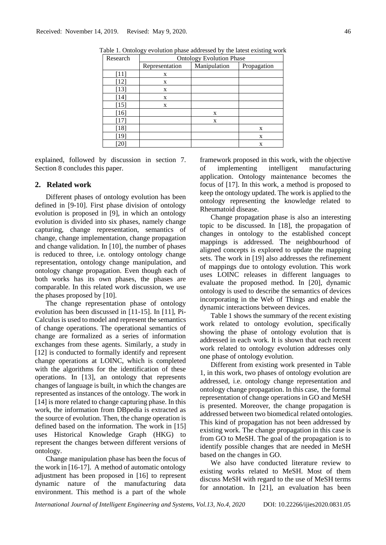| Research | <b>Ontology Evolution Phase</b> |              |             |
|----------|---------------------------------|--------------|-------------|
|          | Representation                  | Manipulation | Propagation |
| $[11]$   | X                               |              |             |
| $[12]$   | X                               |              |             |
| $[13]$   | X                               |              |             |
| $[14]$   | X                               |              |             |
| $[15]$   | X                               |              |             |
| $[16]$   |                                 | X            |             |
| $[17]$   |                                 | X            |             |
| $[18]$   |                                 |              | X           |
| [19]     |                                 |              | X           |
| [20]     |                                 |              | X           |

Table 1. Ontology evolution phase addressed by the latest existing work

explained, followed by discussion in section 7. Section 8 concludes this paper.

#### **2. Related work**

Different phases of ontology evolution has been defined in [9-10]. First phase division of ontology evolution is proposed in [9], in which an ontology evolution is divided into six phases, namely change capturing, change representation, semantics of change, change implementation, change propagation and change validation. In [10], the number of phases is reduced to three, i.e. ontology ontology change representation, ontology change manipulation, and ontology change propagation. Even though each of both works has its own phases, the phases are comparable. In this related work discussion, we use the phases proposed by [10].

The change representation phase of ontology evolution has been discussed in [11-15]. In [11], Pi-Calculus is used to model and represent the semantics of change operations. The operational semantics of change are formalized as a series of information exchanges from these agents. Similarly, a study in [12] is conducted to formally identify and represent change operations at LOINC, which is completed with the algorithms for the identification of these operations. In [13], an ontology that represents changes of language is built, in which the changes are represented as instances of the ontology. The work in [14] is more related to change capturing phase. In this work, the information from DBpedia is extracted as the source of evolution. Then, the change operation is defined based on the information. The work in [15] uses Historical Knowledge Graph (HKG) to represent the changes between different versions of ontology.

Change manipulation phase has been the focus of the work in [16-17]. A method of automatic ontology adjustment has been proposed in [16] to represent dynamic nature of the manufacturing data environment. This method is a part of the whole framework proposed in this work, with the objective of implementing intelligent manufacturing application. Ontology maintenance becomes the focus of [17]. In this work, a method is proposed to keep the ontology updated. The work is applied to the ontology representing the knowledge related to Rheumatoid disease.

Change propagation phase is also an interesting topic to be discussed. In [18], the propagation of changes in ontology to the established concept mappings is addressed. The neighbourhood of aligned concepts is explored to update the mapping sets. The work in [19] also addresses the refinement of mappings due to ontology evolution. This work uses LOINC releases in different languages to evaluate the proposed method. In [20], dynamic ontology is used to describe the semantics of devices incorporating in the Web of Things and enable the dynamic interactions between devices.

Table 1 shows the summary of the recent existing work related to ontology evolution, specifically showing the phase of ontology evolution that is addressed in each work. It is shown that each recent work related to ontology evolution addresses only one phase of ontology evolution.

Different from existing work presented in Table 1, in this work, two phases of ontology evolution are addressed, i.e. ontology change representation and ontology change propagation. In this case, the formal representation of change operations in GO and MeSH is presented. Moreover, the change propagation is addressed between two biomedical related ontologies. This kind of propagation has not been addressed by existing work. The change propagation in this case is from GO to MeSH. The goal of the propagation is to identify possible changes that are needed in MeSH based on the changes in GO.

We also have conducted literature review to existing works related to MeSH. Most of them discuss MeSH with regard to the use of MeSH terms for annotation. In [21], an evaluation has been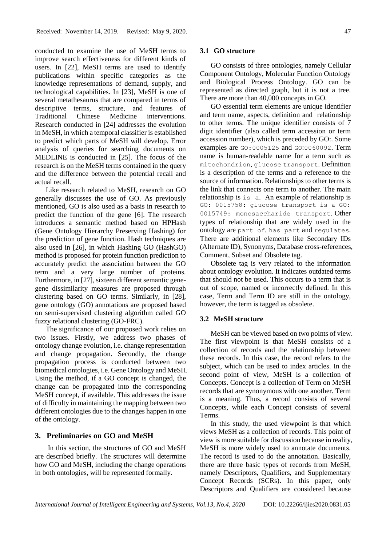conducted to examine the use of MeSH terms to improve search effectiveness for different kinds of users. In [22], MeSH terms are used to identify publications within specific categories as the knowledge representations of demand, supply, and technological capabilities. In [23], MeSH is one of several metathesaurus that are compared in terms of descriptive terms, structure, and features of Traditional Chinese Medicine interventions. Research conducted in [24] addresses the evolution in MeSH, in which a temporal classifier is established to predict which parts of MeSH will develop. Error analysis of queries for searching documents on MEDLINE is conducted in [25]. The focus of the research is on the MeSH terms contained in the query and the difference between the potential recall and actual recall.

Like research related to MeSH, research on GO generally discusses the use of GO. As previously mentioned, GO is also used as a basis in research to predict the function of the gene [6]. The research introduces a semantic method based on HPHash (Gene Ontology Hierarchy Preserving Hashing) for the prediction of gene function. Hash techniques are also used in [26], in which Hashing GO (HashGO) method is proposed for protein function prediction to accurately predict the association between the GO term and a very large number of proteins. Furthermore, in [27], sixteen different semantic genegene dissimilarity measures are proposed through clustering based on GO terms. Similarly, in [28], gene ontology (GO) annotations are proposed based on semi-supervised clustering algorithm called GO fuzzy relational clustering (GO-FRC).

The significance of our proposed work relies on two issues. Firstly, we address two phases of ontology change evolution, i.e. change representation and change propagation. Secondly, the change propagation process is conducted between two biomedical ontologies, i.e. Gene Ontology and MeSH. Using the method, if a GO concept is changed, the change can be propagated into the corresponding MeSH concept, if available. This addresses the issue of difficulty in maintaining the mapping between two different ontologies due to the changes happen in one of the ontology.

# **3. Preliminaries on GO and MeSH**

In this section, the structures of GO and MeSH are described briefly. The structures will determine how GO and MeSH, including the change operations in both ontologies, will be represented formally.

#### **3.1 GO structure**

GO consists of three ontologies, namely Cellular Component Ontology, Molecular Function Ontology and Biological Process Ontology. GO can be represented as directed graph, but it is not a tree. There are more than 40,000 concepts in GO.

GO essential term elements are unique identifier and term name, aspects, definition and relationship to other terms. The unique identifier consists of 7 digit identifier (also called term accession or term accession number), which is preceded by GO:. Some examples are GO:0005125 and GO:0060092. Term name is human-readable name for a term such as mitochondrion, glucose transport. Definition is a description of the terms and a reference to the source of information. Relationships to other terms is the link that connects one term to another. The main relationship is is a. An example of relationship is GO: 0015758: glucose transport is a GO: 0015749: monosaccharide transport. Other types of relationship that are widely used in the ontology are part of, has part and regulates. There are additional elements like Secondary IDs (Alternate ID), Synonyms, Database cross-references, Comment, Subset and Obsolete tag.

Obsolete tag is very related to the information about ontology evolution. It indicates outdated terms that should not be used. This occurs to a term that is out of scope, named or incorrectly defined. In this case, Term and Term ID are still in the ontology, however, the term is tagged as obsolete.

#### **3.2 MeSH structure**

MeSH can be viewed based on two points of view. The first viewpoint is that MeSH consists of a collection of records and the relationship between these records. In this case, the record refers to the subject, which can be used to index articles. In the second point of view, MeSH is a collection of Concepts. Concept is a collection of Term on MeSH records that are synonymous with one another. Term is a meaning. Thus, a record consists of several Concepts, while each Concept consists of several Terms.

In this study, the used viewpoint is that which views MeSH as a collection of records. This point of view is more suitable for discussion because in reality, MeSH is more widely used to annotate documents. The record is used to do the annotation. Basically, there are three basic types of records from MeSH, namely Descriptors, Qualifiers, and Supplementary Concept Records (SCRs). In this paper, only Descriptors and Qualifiers are considered because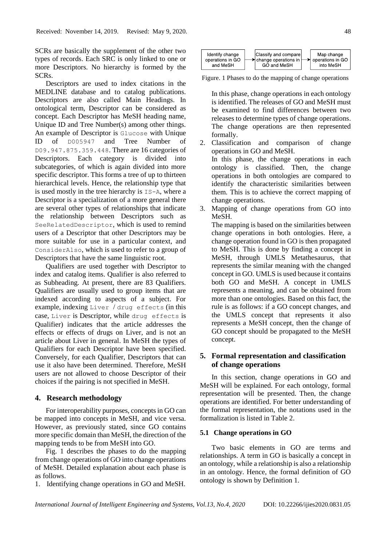SCRs are basically the supplement of the other two types of records. Each SRC is only linked to one or more Descriptors. No hierarchy is formed by the SCRs.

Descriptors are used to index citations in the MEDLINE database and to catalog publications. Descriptors are also called Main Headings. In ontological term, Descriptor can be considered as concept. Each Descriptor has MeSH heading name, Unique ID and Tree Number(s) among other things. An example of Descriptor is Glucose with Unique ID of D005947 and Tree Number of D09.947.875.359.448. There are 16 categories of Descriptors. Each category is divided into subcategories, of which is again divided into more specific descriptor. This forms a tree of up to thirteen hierarchical levels. Hence, the relationship type that is used mostly in the tree hierarchy is IS-A, where a Descriptor is a specialization of a more general there are several other types of relationships that indicate the relationship between Descriptors such as SeeRelatedDescriptor, which is used to remind users of a Descriptor that other Descriptors may be more suitable for use in a particular context, and ConsiderAlso, which is used to refer to a group of Descriptors that have the same linguistic root.

Qualifiers are used together with Descriptor to index and catalog items. Qualifier is also referred to as Subheading. At present, there are 83 Qualifiers. Qualifiers are usually used to group items that are indexed according to aspects of a subject. For example, indexing Liver / drug effects (in this case, Liver is Descriptor, while drug effects is Qualifier) indicates that the article addresses the effects or effects of drugs on Liver, and is not an article about Liver in general. In MeSH the types of Qualifiers for each Descriptor have been specified. Conversely, for each Qualifier, Descriptors that can use it also have been determined. Therefore, MeSH users are not allowed to choose Descriptor of their choices if the pairing is not specified in MeSH.

### **4. Research methodology**

For interoperability purposes, concepts in GO can be mapped into concepts in MeSH, and vice versa. However, as previously stated, since GO contains more specific domain than MeSH, the direction of the mapping tends to be from MeSH into GO.

Fig. 1 describes the phases to do the mapping from change operations of GO into change operations of MeSH. Detailed explanation about each phase is as follows.

1. Identifying change operations in GO and MeSH.



Figure. 1 Phases to do the mapping of change operations

In this phase, change operations in each ontology is identified. The releases of GO and MeSH must be examined to find differences between two releases to determine types of change operations. The change operations are then represented formally.

2. Classification and comparison of change operations in GO and MeSH. In this phase, the change operations in each ontology is classified. Then, the change operations in both ontologies are compared to identify the characteristic similarities between them. This is to achieve the correct mapping of

change operations. 3. Mapping of change operations from GO into MeSH.

The mapping is based on the similarities between change operations in both ontologies. Here, a change operation found in GO is then propagated to MeSH. This is done by finding a concept in MeSH, through UMLS Metathesaurus, that represents the similar meaning with the changed concept in GO. UMLS is used because it contains both GO and MeSH. A concept in UMLS represents a meaning, and can be obtained from more than one ontologies. Based on this fact, the rule is as follows: if a GO concept changes, and the UMLS concept that represents it also represents a MeSH concept, then the change of GO concept should be propagated to the MeSH concept.

# **5. Formal representation and classification of change operations**

In this section, change operations in GO and MeSH will be explained. For each ontology, formal representation will be presented. Then, the change operations are identified. For better understanding of the formal representation, the notations used in the formalization is listed in Table 2.

### **5.1 Change operations in GO**

Two basic elements in GO are terms and relationships. A term in GO is basically a concept in an ontology, while a relationship is also a relationship in an ontology. Hence, the formal definition of GO ontology is shown by Definition 1.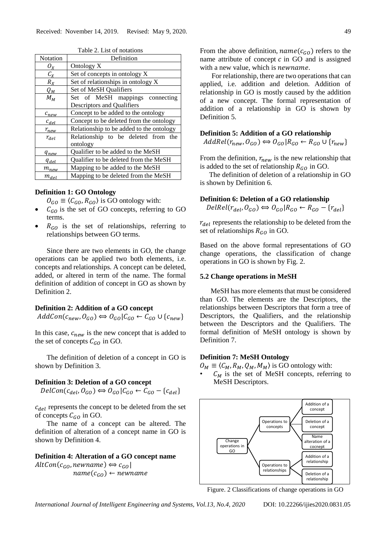| Notation         | Definition                               |
|------------------|------------------------------------------|
| $O_X$            | Ontology X                               |
| $C_X$            | Set of concepts in ontology X            |
| $R_X$            | Set of relationships in ontology X       |
| $Q_M$            | Set of MeSH Qualifiers                   |
| $M_M$            | Set of MeSH mappings connecting          |
|                  | Descriptors and Qualifiers               |
| $c_{new}$        | Concept to be added to the ontology      |
| $c_{del}$        | Concept to be deleted from the ontology  |
| $r_{new}$        | Relationship to be added to the ontology |
| $r_{del}$        | Relationship to be deleted from the      |
|                  | ontology                                 |
| $q_{new}$        | Qualifier to be added to the MeSH        |
| q <sub>del</sub> | Qualifier to be deleted from the MeSH    |
| $m_{new}$        | Mapping to be added to the MeSH          |
| $m_{del}$        | Mapping to be deleted from the MeSH      |

Table 2. List of notations

#### **Definition 1: GO Ontology**

- $O_{GO} \equiv \langle C_{GO}, R_{GO} \rangle$  is GO ontology with:
- $C_{GO}$  is the set of GO concepts, referring to GO terms.
- $R_{GO}$  is the set of relationships, referring to relationships between GO terms.

Since there are two elements in GO, the change operations can be applied two both elements, i.e. concepts and relationships. A concept can be deleted, added, or altered in term of the name. The formal definition of addition of concept in GO as shown by Definition 2.

### **Definition 2: Addition of a GO concept**

 $AddCon(c_{new}, O_{GO}) \Leftrightarrow O_{GO}|C_{GO} \leftarrow C_{GO} \cup \{c_{new}\}$ 

In this case,  $c_{new}$  is the new concept that is added to the set of concepts  $C_{GO}$  in GO.

The definition of deletion of a concept in GO is shown by Definition 3.

#### **Definition 3: Deletion of a GO concept**

 $DelCon(c_{del}, O_{GO}) \Longleftrightarrow O_{GO}|C_{GO} \leftarrow C_{GO} - \{c_{del}\}$ 

 $c_{del}$  represents the concept to be deleted from the set of concepts  $C_{GO}$  in GO.

The name of a concept can be altered. The definition of alteration of a concept name in GO is shown by Definition 4.

# **Definition 4: Alteration of a GO concept name**

 $AltCon(c_{GO}, new name) \Leftrightarrow c_{GO}$  $name(c_{GO}) \leftarrow newname$  From the above definition,  $name(c_{GO})$  refers to the name attribute of concept  $c$  in GO and is assigned with a new value, which is *newname*.

For relationship, there are two operations that can applied, i.e. addition and deletion. Addition of relationship in GO is mostly caused by the addition of a new concept. The formal representation of addition of a relationship in GO is shown by Definition 5.

## **Definition 5: Addition of a GO relationship**

 $AddRel(r_{new}, O_{GO}) \Leftrightarrow O_{GO} | R_{GO} \leftarrow R_{GO} \cup \{r_{new}\}$ 

From the definition,  $r_{new}$  is the new relationship that is added to the set of relationship  $R_{GO}$  in GO.

The definition of deletion of a relationship in GO is shown by Definition 6.

#### **Definition 6: Deletion of a GO relationship**

$$
DelRel(r_{del}, O_{GO}) \Longleftrightarrow O_{GO} | R_{GO} \leftarrow R_{GO} - \{r_{del}\}
$$

 $r_{del}$  represents the relationship to be deleted from the set of relationships  $R_{GO}$  in GO.

Based on the above formal representations of GO change operations, the classification of change operations in GO is shown by Fig. 2.

#### **5.2 Change operations in MeSH**

MeSH has more elements that must be considered than GO. The elements are the Descriptors, the relationships between Descriptors that form a tree of Descriptors, the Qualifiers, and the relationship between the Descriptors and the Qualifiers. The formal definition of MeSH ontology is shown by Definition 7.

#### **Definition 7: MeSH Ontology**

 $O_M \equiv \langle C_M, R_M, Q_M, M_M \rangle$  is GO ontology with:

 $C_M$  is the set of MeSH concepts, referring to MeSH Descriptors.



Figure. 2 Classifications of change operations in GO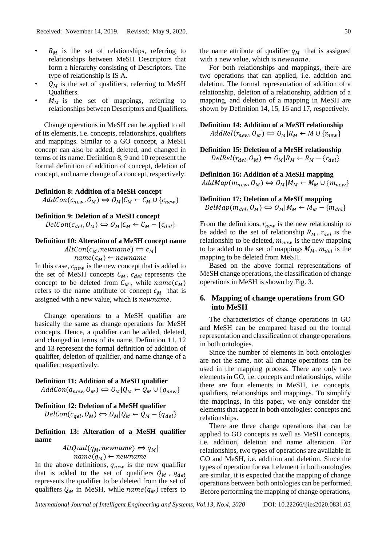- $R_M$  is the set of relationships, referring to relationships between MeSH Descriptors that form a hierarchy consisting of Descriptors. The type of relationship is IS A.
- $Q_M$  is the set of qualifiers, referring to MeSH Qualifiers.
- $M_M$  is the set of mappings, referring to relationships between Descriptors and Qualifiers.

Change operations in MeSH can be applied to all of its elements, i.e. concepts, relationships, qualifiers and mappings. Similar to a GO concept, a MeSH concept can also be added, deleted, and changed in terms of its name. Definition 8, 9 and 10 represent the formal definition of addition of concept, deletion of concept, and name change of a concept, respectively.

#### **Definition 8: Addition of a MeSH concept**

 $AddCon(c_{new}, O_M) \Leftrightarrow O_M | C_M \leftarrow C_M \cup \{c_{new}\}$ 

# **Definition 9: Deletion of a MeSH concept**

 $DelCon(c_{del}, O_M) \Leftrightarrow O_M | C_M \leftarrow C_M - \{c_{del}\}$ 

#### **Definition 10: Alteration of a MeSH concept name**

 $AltCon(c_M, new name) \Leftrightarrow c_M$ 

 $name(c_M) \leftarrow newname$ In this case,  $c_{new}$  is the new concept that is added to the set of MeSH concepts  $C_M$ ,  $c_{del}$  represents the concept to be deleted from  $C_M$ , while  $name(c_M)$ refers to the name attribute of concept  $c_M$  that is assigned with a new value, which is *newname*.

Change operations to a MeSH qualifier are basically the same as change operations for MeSH concepts. Hence, a qualifier can be added, deleted, and changed in terms of its name. Definition 11, 12 and 13 represent the formal definition of addition of qualifier, deletion of qualifier, and name change of a qualifier, respectively.

# **Definition 11: Addition of a MeSH qualifier**

 $AddCon(q_{new}, O_M) \Longleftrightarrow O_M | Q_M \leftarrow Q_M \cup \{q_{new}\}$ 

# **Definition 12: Deletion of a MeSH qualifier**  $DelCon(c_{gel}, O_M) \Leftrightarrow O_M | Q_M \leftarrow Q_M - \{q_{del}\}$

# **Definition 13: Alteration of a MeSH qualifier name**

$$
AltQual(q_M, newname) \Leftrightarrow q_M
$$
  
name(q\_M) \Leftrightarrow newname

In the above definitions,  $q_{new}$  is the new qualifier that is added to the set of qualifiers  $Q_M$ ,  $q_{del}$ represents the qualifier to be deleted from the set of qualifiers  $Q_M$  in MeSH, while  $name(q_M)$  refers to the name attribute of qualifier  $q_M$  that is assigned with a new value, which is *newname*.

For both relationships and mappings, there are two operations that can applied, i.e. addition and deletion. The formal representation of addition of a relationship, deletion of a relationship, addition of a mapping, and deletion of a mapping in MeSH are shown by Definition 14, 15, 16 and 17, respectively.

**Definition 14: Addition of a MeSH relationship**  $AddRel(r_{new}, O_M) \Longleftrightarrow O_M | R_M \leftarrow M \cup \{r_{new}\}$ 

**Definition 15: Deletion of a MeSH relationship**  $DelRel(r_{del}, O_M) \Longleftrightarrow O_M | R_M \leftarrow R_M - \{r_{del}\}$ 

**Definition 16: Addition of a MeSH mapping**  $AddMap(m_{new}, O_M) \Longleftrightarrow O_M|M_M \leftarrow M_M \cup \{m_{new}\}$ 

# **Definition 17: Deletion of a MeSH mapping**  $DelMap(m_{del}, O_M) \Leftrightarrow O_M|M_M \leftarrow M_M - \{m_{del}\}$

From the definitions,  $r_{new}$  is the new relationship to be added to the set of relationship  $R_M$ ,  $r_{del}$  is the relationship to be deleted,  $m_{new}$  is the new mapping to be added to the set of mappings  $M_M$ ,  $m_{del}$  is the mapping to be deleted from MeSH.

Based on the above formal representations of MeSH change operations, the classification of change operations in MeSH is shown by Fig. 3.

# **6. Mapping of change operations from GO into MeSH**

The characteristics of change operations in GO and MeSH can be compared based on the formal representation and classification of change operations in both ontologies.

Since the number of elements in both ontologies are not the same, not all change operations can be used in the mapping process. There are only two elements in GO, i.e. concepts and relationships, while there are four elements in MeSH, i.e. concepts, qualifiers, relationships and mappings. To simplify the mappings, in this paper, we only consider the elements that appear in both ontologies: concepts and relationships.

There are three change operations that can be applied to GO concepts as well as MeSH concepts, i.e. addition, deletion and name alteration. For relationships, two types of operations are available in GO and MeSH, i.e. addition and deletion. Since the types of operation for each element in both ontologies are similar, it is expected that the mapping of change operations between both ontologies can be performed. Before performing the mapping of change operations,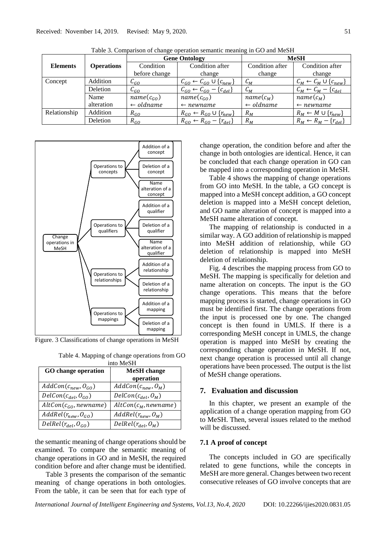|                 |                   | <b>Gene Ontology</b> |                                                                 | <b>MeSH</b>          |                                       |
|-----------------|-------------------|----------------------|-----------------------------------------------------------------|----------------------|---------------------------------------|
| <b>Elements</b> | <b>Operations</b> | Condition            | Condition after                                                 | Condition after      | Condition after                       |
|                 |                   | before change        | change                                                          | change               | change                                |
| Concept         | Addition          | $\mathcal{C}_{GO}$   | $\mathcal{C}_{GO} \leftarrow \mathcal{C}_{GO} \cup \{c_{new}\}$ | $C_M$                | $C_M \leftarrow C_M \cup \{c_{new}\}$ |
|                 | Deletion          | $C_{GO}$             | $\mathcal{C}_{GO} \leftarrow \mathcal{C}_{GO} - \{c_{del}\}\$   | $C_M$                | $C_M \leftarrow C_M - \{c_{del}\}$    |
|                 | Name              | $name(c_{GO})$       | $name(c_{GO})$                                                  | $name(c_M)$          | $name(c_M)$                           |
|                 | alteration        | $\leftarrow$ oldname | $\leftarrow$ newname                                            | $\leftarrow$ oldname | $\leftarrow$ newname                  |
| Relationship    | Addition          | $R_{GO}$             | $R_{GO} \leftarrow R_{GO} \cup \{r_{new}\}$                     | $R_M$                | $R_M \leftarrow M \cup \{r_{new}\}$   |
|                 | Deletion          | $R_{GO}$             | $R_{GO} \leftarrow R_{GO} - \{r_{del}\}$                        | $R_M$                | $R_M \leftarrow R_M - \{r_{del}\}$    |

Table 3. Comparison of change operation semantic meaning in GO and MeSH



Figure. 3 Classifications of change operations in MeSH

Table 4. Mapping of change operations from GO into MeSH

| <b>GO</b> change operation | <b>MeSH</b> change      |
|----------------------------|-------------------------|
|                            | operation               |
| $AddCon(c_{new}, O_{GO})$  | $AddCon(c_{new}, O_M)$  |
| $DelCon(c_{del}, O_{GO})$  | $DelCon(c_{del}, O_M)$  |
| $AltCon(c_{GO}, new name)$ | $AltCon(c_M, new name)$ |
| $AddRel(r_{new}, O_{GO})$  | $AddRel(r_{new}, O_M)$  |
| $DelRel(r_{del}, O_{GO})$  | $DelRel(r_{del}, O_M)$  |

the semantic meaning of change operations should be examined. To compare the semantic meaning of change operations in GO and in MeSH, the required condition before and after change must be identified.

Table 3 presents the comparison of the semantic meaning of change operations in both ontologies. From the table, it can be seen that for each type of change operation, the condition before and after the change in both ontologies are identical. Hence, it can be concluded that each change operation in GO can be mapped into a corresponding operation in MeSH.

Table 4 shows the mapping of change operations from GO into MeSH. In the table, a GO concept is mapped into a MeSH concept addition, a GO concept deletion is mapped into a MeSH concept deletion, and GO name alteration of concept is mapped into a MeSH name alteration of concept.

The mapping of relationship is conducted in a similar way. A GO addition of relationship is mapped into MeSH addition of relationship, while GO deletion of relationship is mapped into MeSH deletion of relationship.

Fig. 4 describes the mapping process from GO to MeSH. The mapping is specifically for deletion and name alteration on concepts. The input is the GO change operations. This means that the before mapping process is started, change operations in GO must be identified first. The change operations from the input is processed one by one. The changed concept is then found in UMLS. If there is a corresponding MeSH concept in UMLS, the change operation is mapped into MeSH by creating the corresponding change operation in MeSH. If not, next change operation is processed until all change operations have been processed. The output is the list of MeSH change operations.

#### **7. Evaluation and discussion**

In this chapter, we present an example of the application of a change operation mapping from GO to MeSH. Then, several issues related to the method will be discussed.

#### **7.1 A proof of concept**

The concepts included in GO are specifically related to gene functions, while the concepts in MeSH are more general. Changes between two recent consecutive releases of GO involve concepts that are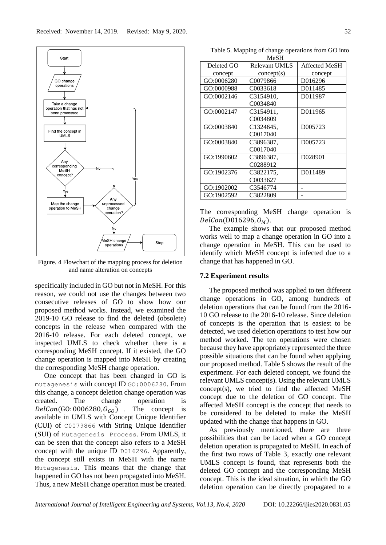

Figure. 4 Flowchart of the mapping process for deletion and name alteration on concepts

specifically included in GO but not in MeSH. For this reason, we could not use the changes between two consecutive releases of GO to show how our proposed method works. Instead, we examined the 2019-10 GO release to find the deleted (obsolete) concepts in the release when compared with the 2016-10 release. For each deleted concept, we inspected UMLS to check whether there is a corresponding MeSH concept. If it existed, the GO change operation is mapped into MeSH by creating the corresponding MeSH change operation.

One concept that has been changed in GO is mutagenesis with concept ID GO:0006280. From this change, a concept deletion change operation was created. The change operation is  $DelCon(GO: 0006280, O_{GO})$  . The concept is available in UMLS with Concept Unique Identifier (CUI) of C0079866 with String Unique Identifier (SUI) of Mutagenesis Process. From UMLS, it can be seen that the concept also refers to a MeSH concept with the unique ID D016296. Apparently, the concept still exists in MeSH with the name Mutagenesis. This means that the change that happened in GO has not been propagated into MeSH. Thus, a new MeSH change operation must be created.

| Table 5. Mapping of change operations from GO into |                                                                                                                                                               |  |
|----------------------------------------------------|---------------------------------------------------------------------------------------------------------------------------------------------------------------|--|
| <b>MeSH</b>                                        |                                                                                                                                                               |  |
| $1.1.1 \alpha$                                     | $\mathbf{D} \cdot \mathbf{1}$ . $\mathbf{I} \cdot \mathbf{I}$ is the state of $\mathbf{I} \cdot \mathbf{A}$ of $\mathbf{C} \cdot \mathbf{I} \cdot \mathbf{I}$ |  |

| Deleted GO | Relevant UMLS | Affected MeSH |
|------------|---------------|---------------|
| concept    | concept(s)    | concept       |
| GO:0006280 | C0079866      | D016296       |
| GO:0000988 | C0033618      | D011485       |
| GO:0002146 | C3154910,     | D011987       |
|            | C0034840      |               |
| GO:0002147 | C3154911,     | D011965       |
|            | C0034809      |               |
| GO:0003840 | C1324645,     | D005723       |
|            | C0017040      |               |
| GO:0003840 | C3896387,     | D005723       |
|            | C0017040      |               |
| GO:1990602 | C3896387,     | D028901       |
|            | C0288912      |               |
| GO:1902376 | C3822175,     | D011489       |
|            | C0033627      |               |
| GO:1902002 | C3546774      |               |
| GO:1902592 | C3822809      |               |

The corresponding MeSH change operation is  $DelCon(D016296, O<sub>M</sub>).$ 

The example shows that our proposed method works well to map a change operation in GO into a change operation in MeSH. This can be used to identify which MeSH concept is infected due to a change that has happened in GO.

#### **7.2 Experiment results**

The proposed method was applied to ten different change operations in GO, among hundreds of deletion operations that can be found from the 2016- 10 GO release to the 2016-10 release. Since deletion of concepts is the operation that is easiest to be detected, we used deletion operations to test how our method worked. The ten operations were chosen because they have appropriately represented the three possible situations that can be found when applying our proposed method. Table 5 shows the result of the experiment. For each deleted concept, we found the relevant UMLS concept(s). Using the relevant UMLS concept(s), we tried to find the affected MeSH concept due to the deletion of GO concept. The affected MeSH concept is the concept that needs to be considered to be deleted to make the MeSH updated with the change that happens in GO.

As previously mentioned, there are three possibilities that can be faced when a GO concept deletion operation is propagated to MeSH. In each of the first two rows of Table 3, exactly one relevant UMLS concept is found, that represents both the deleted GO concept and the corresponding MeSH concept. This is the ideal situation, in which the GO deletion operation can be directly propagated to a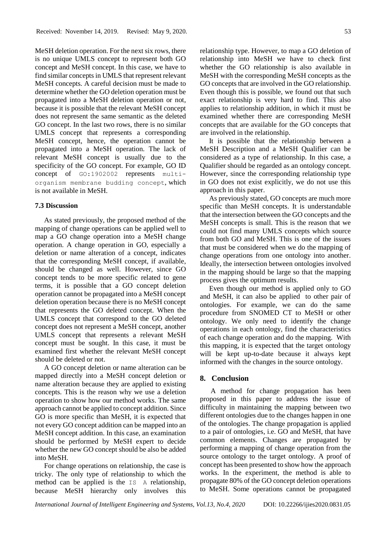MeSH deletion operation. For the next six rows, there is no unique UMLS concept to represent both GO concept and MeSH concept. In this case, we have to find similar concepts in UMLS that represent relevant MeSH concepts. A careful decision must be made to determine whether the GO deletion operation must be propagated into a MeSH deletion operation or not, because it is possible that the relevant MeSH concept does not represent the same semantic as the deleted GO concept. In the last two rows, there is no similar UMLS concept that represents a corresponding MeSH concept, hence, the operation cannot be propagated into a MeSH operation. The lack of relevant MeSH concept is usually due to the specificity of the GO concept. For example, GO ID concept of GO:1902002 represents multiorganism membrane budding concept, which is not available in MeSH.

#### **7.3 Discussion**

As stated previously, the proposed method of the mapping of change operations can be applied well to map a GO change operation into a MeSH change operation. A change operation in GO, especially a deletion or name alteration of a concept, indicates that the corresponding MeSH concept, if available, should be changed as well. However, since GO concept tends to be more specific related to gene terms, it is possible that a GO concept deletion operation cannot be propagated into a MeSH concept deletion operation because there is no MeSH concept that represents the GO deleted concept. When the UMLS concept that correspond to the GO deleted concept does not represent a MeSH concept, another UMLS concept that represents a relevant MeSH concept must be sought. In this case, it must be examined first whether the relevant MeSH concept should be deleted or not.

A GO concept deletion or name alteration can be mapped directly into a MeSH concept deletion or name alteration because they are applied to existing concepts. This is the reason why we use a deletion operation to show how our method works. The same approach cannot be applied to concept addition. Since GO is more specific than MeSH, it is expected that not every GO concept addition can be mapped into an MeSH concept addition. In this case, an examination should be performed by MeSH expert to decide whether the new GO concept should be also be added into MeSH.

For change operations on relationship, the case is tricky. The only type of relationship to which the method can be applied is the IS A relationship, because MeSH hierarchy only involves this relationship type. However, to map a GO deletion of relationship into MeSH we have to check first whether the GO relationship is also available in MeSH with the corresponding MeSH concepts as the GO concepts that are involved in the GO relationship. Even though this is possible, we found out that such exact relationship is very hard to find. This also applies to relationship addition, in which it must be examined whether there are corresponding MeSH concepts that are available for the GO concepts that are involved in the relationship.

It is possible that the relationship between a MeSH Description and a MeSH Qualifier can be considered as a type of relationship. In this case, a Qualifier should be regarded as an ontology concept. However, since the corresponding relationship type in GO does not exist explicitly, we do not use this approach in this paper.

As previously stated, GO concepts are much more specific than MeSH concepts. It is understandable that the intersection between the GO concepts and the MeSH concepts is small. This is the reason that we could not find many UMLS concepts which source from both GO and MeSH. This is one of the issues that must be considered when we do the mapping of change operations from one ontology into another. Ideally, the intersection between ontologies involved in the mapping should be large so that the mapping process gives the optimum results.

Even though our method is applied only to GO and MeSH, it can also be applied to other pair of ontologies. For example, we can do the same procedure from SNOMED CT to MeSH or other ontology. We only need to identify the change operations in each ontology, find the characteristics of each change operation and do the mapping. With this mapping, it is expected that the target ontology will be kept up-to-date because it always kept informed with the changes in the source ontology.

## **8. Conclusion**

A method for change propagation has been proposed in this paper to address the issue of difficulty in maintaining the mapping between two different ontologies due to the changes happen in one of the ontologies. The change propagation is applied to a pair of ontologies, i.e. GO and MeSH, that have common elements. Changes are propagated by performing a mapping of change operation from the source ontology to the target ontology. A proof of concept has been presented to show how the approach works. In the experiment, the method is able to propagate 80% of the GO concept deletion operations to MeSH. Some operations cannot be propagated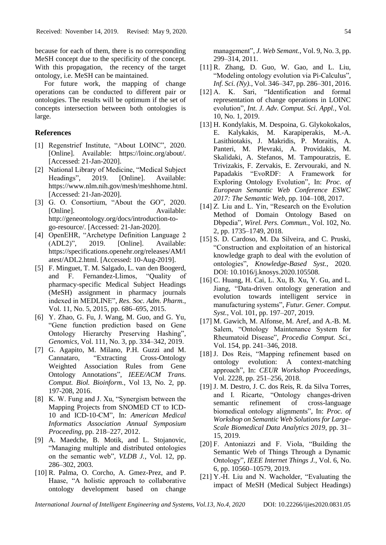because for each of them, there is no corresponding MeSH concept due to the specificity of the concept. With this propagation, the recency of the target ontology, i.e. MeSH can be maintained.

For future work, the mapping of change operations can be conducted to different pair or ontologies. The results will be optimum if the set of concepts intersection between both ontologies is large.

## **References**

- [1] Regenstrief Institute, "About LOINC", 2020. [Online]. Available: https://loinc.org/about/. [Accessed: 21-Jan-2020].
- [2] National Library of Medicine, "Medical Subject Headings", 2019. [Online]. Available: https://www.nlm.nih.gov/mesh/meshhome.html. [Accessed: 21-Jan-2020].
- [3] G. O. Consortium, "About the GO", 2020. [Online]. Available: http://geneontology.org/docs/introduction-togo-resource/. [Accessed: 21-Jan-2020].
- [4] OpenEHR, "Archetype Definition Language 2 (ADL2)", 2019. [Online]. Available: https://specifications.openehr.org/releases/AM/l atest/ADL2.html. [Accessed: 10-Aug-2019].
- [5] F. Minguet, T. M. Salgado, L. van den Boogerd, and F. Fernandez-Llimos, "Quality of pharmacy-specific Medical Subject Headings (MeSH) assignment in pharmacy journals indexed in MEDLINE", *Res. Soc. Adm. Pharm.*, Vol. 11, No. 5, 2015, pp. 686–695, 2015.
- [6] Y. Zhao, G. Fu, J. Wang, M. Guo, and G. Yu, "Gene function prediction based on Gene Ontology Hierarchy Preserving Hashing", *Genomics*, Vol. 111, No. 3, pp. 334–342, 2019.
- [7] G. Agapito, M. Milano, P.H. Guzzi and M. Cannataro, "Extracting Cross-Ontology Weighted Association Rules from Gene Ontology Annotations", *IEEE/ACM Trans. Comput. Biol. Bioinform.,* Vol 13, No. 2, pp. 197-208, 2016.
- [8] K. W. Fung and J. Xu, "Synergism between the Mapping Projects from SNOMED CT to ICD-10 and ICD-10-CM", In: *American Medical Informatics Association Annual Symposium Proceeding*, pp. 218–227, 2012.
- [9] A. Maedche, B. Motik, and L. Stojanovic, "Managing multiple and distributed ontologies on the semantic web", *VLDB J.*, Vol. 12, pp. 286–302, 2003.
- [10] R. Palma, O. Corcho, A. Gmez-Prez, and P. Haase, "A holistic approach to collaborative ontology development based on change

management", *J. Web Semant.*, Vol. 9, No. 3, pp. 299–314, 2011.

- [11] R. Zhang, D. Guo, W. Gao, and L. Liu, "Modeling ontology evolution via Pi-Calculus", *Inf. Sci. (Ny).*, Vol. 346–347, pp. 286–301, 2016.
- [12] A. K. Sari, "Identification and formal representation of change operations in LOINC evolution", *Int. J. Adv. Comput. Sci. Appl.*, Vol. 10, No. 1, 2019.
- [13] H. Kondylakis, M. Despoina, G. Glykokokalos, E. Kalykakis, M. Karapiperakis, M.-A. Lasithiotakis, J. Makridis, P. Moraitis, A. Panteri, M. Plevraki, A. Providakis, M. Skalidaki, A. Stefanos, M. Tampouratzis, E. Trivizakis, F. Zervakis, E. Zervouraki, and N. Papadakis "EvoRDF: A Framework for Exploring Ontology Evolution", In: *Proc. of European Semantic Web Conference ESWC 2017: The Semantic Web*, pp. 104–108, 2017.
- [14] Z. Liu and L. Yin, "Research on the Evolution Method of Domain Ontology Based on Dbpedia", *Wirel. Pers. Commun.*, Vol. 102, No. 2, pp. 1735–1749, 2018.
- [15] S. D. Cardoso, M. Da Silveira, and C. Pruski, "Construction and exploitation of an historical knowledge graph to deal with the evolution of ontologies", *Knowledge-Based Syst.*, 2020. DOI: 10.1016/j.knosys.2020.105508.
- [16] C. Huang, H. Cai, L. Xu, B. Xu, Y. Gu, and L. Jiang, "Data-driven ontology generation and evolution towards intelligent service in manufacturing systems", *Futur. Gener. Comput. Syst.*, Vol. 101, pp. 197–207, 2019.
- [17] M. Gawich, M. Alfonse, M. Aref, and A.-B. M. Salem, "Ontology Maintenance System for Rheumatoid Disease", *Procedia Comput. Sci.*, Vol. 154, pp. 241–346, 2018.
- [18] J. Dos Reis, "Mapping refinement based on ontology evolution: A context-matching approach", In: *CEUR Workshop Proceedings*, Vol. 2228, pp. 251–256, 2018.
- [19] J. M. Destro, J. C. dos Reis, R. da Silva Torres, and I. Ricarte, "Ontology changes-driven semantic refinement of cross-language biomedical ontology alignments", In: *Proc. of Workshop on Semantic Web Solutions for Large-Scale Biomedical Data Analytics 2019*, pp. 31– 15, 2019.
- [20] F. Antoniazzi and F. Viola, "Building the Semantic Web of Things Through a Dynamic Ontology", *IEEE Internet Things J.*, Vol. 6, No. 6, pp. 10560–10579, 2019.
- [21] Y.-H. Liu and N. Wacholder, "Evaluating the impact of MeSH (Medical Subject Headings)